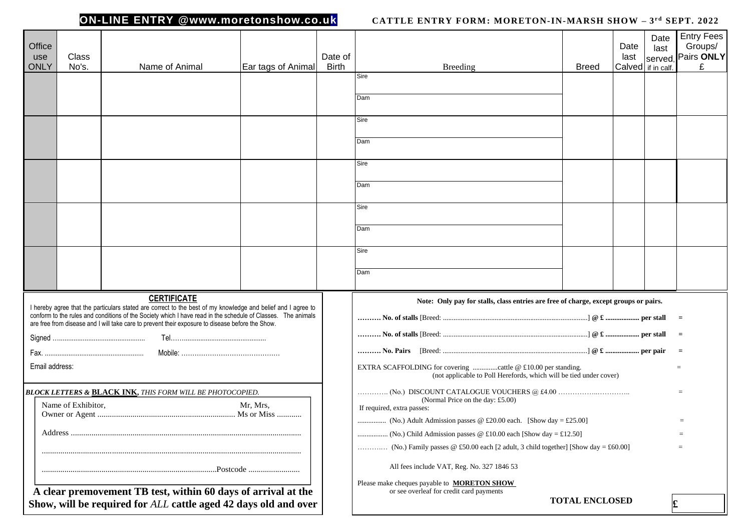### **ON-LINE ENTRY @www.moretonshow.co.uk**

### **CATTLE ENTRY FORM: MORETON-IN-MARSH SHOW - 3rd SEPT. 2022**

| Office<br>use<br><b>ONLY</b>                                                                                                                                                                                                                                                                                                     | Class<br>No's. | Name of Animal     | Ear tags of Animal | Date of<br><b>Birth</b> | Breeding                                                                                                                                         | <b>Breed</b>          | Date<br>last<br>Calved if in calf. | Date<br>last<br>served, | <b>Entry Fees</b><br>Groups/<br>Pairs ONLY<br>£ |
|----------------------------------------------------------------------------------------------------------------------------------------------------------------------------------------------------------------------------------------------------------------------------------------------------------------------------------|----------------|--------------------|--------------------|-------------------------|--------------------------------------------------------------------------------------------------------------------------------------------------|-----------------------|------------------------------------|-------------------------|-------------------------------------------------|
|                                                                                                                                                                                                                                                                                                                                  |                |                    |                    |                         | Sire<br>Dam                                                                                                                                      |                       |                                    |                         |                                                 |
|                                                                                                                                                                                                                                                                                                                                  |                |                    |                    |                         | Sire<br>Dam                                                                                                                                      |                       |                                    |                         |                                                 |
|                                                                                                                                                                                                                                                                                                                                  |                |                    |                    |                         | Sire<br>Dam                                                                                                                                      |                       |                                    |                         |                                                 |
|                                                                                                                                                                                                                                                                                                                                  |                |                    |                    |                         | Sire<br>Dam                                                                                                                                      |                       |                                    |                         |                                                 |
|                                                                                                                                                                                                                                                                                                                                  |                |                    |                    |                         | Sire                                                                                                                                             |                       |                                    |                         |                                                 |
|                                                                                                                                                                                                                                                                                                                                  |                | <b>CERTIFICATE</b> |                    |                         | Dam                                                                                                                                              |                       |                                    |                         |                                                 |
| I hereby agree that the particulars stated are correct to the best of my knowledge and belief and I agree to<br>conform to the rules and conditions of the Society which I have read in the schedule of Classes. The animals<br>are free from disease and I will take care to prevent their exposure to disease before the Show. |                |                    |                    |                         | Note: Only pay for stalls, class entries are free of charge, except groups or pairs.                                                             |                       |                                    |                         |                                                 |
|                                                                                                                                                                                                                                                                                                                                  |                |                    |                    |                         |                                                                                                                                                  |                       |                                    |                         | $=$                                             |
| Email address:<br><b>BLOCK LETTERS &amp; BLACK INK, THIS FORM WILL BE PHOTOCOPIED.</b>                                                                                                                                                                                                                                           |                |                    |                    |                         | EXTRA SCAFFOLDING for covering cattle @ £10.00 per standing.<br>$=$<br>(not applicable to Poll Herefords, which will be tied under cover)<br>$=$ |                       |                                    |                         |                                                 |
| Name of Exhibitor,<br>Mr, Mrs,                                                                                                                                                                                                                                                                                                   |                |                    |                    |                         | (Normal Price on the day: £5.00)<br>If required, extra passes:<br>$=$                                                                            |                       |                                    |                         |                                                 |
|                                                                                                                                                                                                                                                                                                                                  |                |                    |                    |                         | (No.) Family passes @ £50.00 each [2 adult, 3 child together] [Show day = £60.00]                                                                |                       |                                    |                         | $=$                                             |
|                                                                                                                                                                                                                                                                                                                                  |                |                    |                    |                         | All fees include VAT, Reg. No. 327 1846 53<br>Please make cheques payable to <b>MORETON SHOW</b>                                                 |                       |                                    |                         |                                                 |
| A clear premovement TB test, within 60 days of arrival at the<br>Show, will be required for ALL cattle aged 42 days old and over                                                                                                                                                                                                 |                |                    |                    |                         | or see overleaf for credit card payments                                                                                                         | <b>TOTAL ENCLOSED</b> |                                    |                         |                                                 |